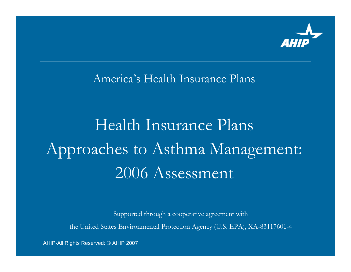

America's Health Insurance Plans

# Health Insurance Plans Approaches to Asthma Management: 2006 Assessment

Supported through a cooperative agreement with

the United States Environmental Protection Agency (U.S. EPA), XA-83117601-4

AHIP-All Rights Reserved: © AHIP 2007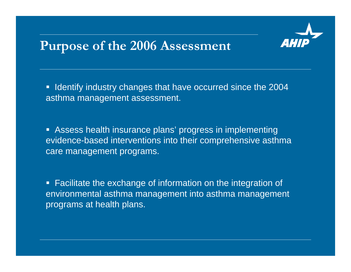#### **Purpose of the 2006 Assessment**

**If Identify industry changes that have occurred since the 2004** asthma management assessment.

 Assess health insurance plans' progress in implementing evidence-based interventions into their comprehensive asthma care management programs.

**Facilitate the exchange of information on the integration of** environmental asthma management into asthma management programs at health plans.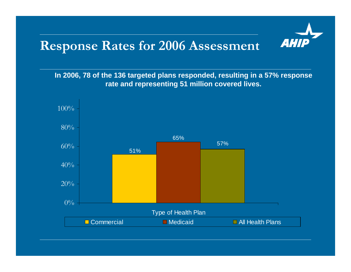#### **Response Rates for 2006 Assessment**

**In 2006, 78 of the 136 targeted plans responded, resulting in a 57% response rate and representing 51 million covered lives.**

**AHIP** 

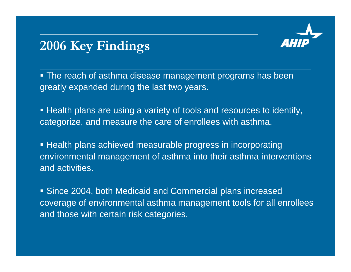

# **2006 Key Findings**

 The reach of asthma disease management programs has been greatly expanded during the last two years.

 Health plans are using a variety of tools and resources to identify, categorize, and measure the care of enrollees with asthma.

 $\blacksquare$  Health plans achieved measurable progress in incorporating environmental management of asthma into their asthma interventions and activities.

 Since 2004, both Medicaid and Commercial plans increased coverage of environmental asthma management tools for all enrollees and those with certain risk categories.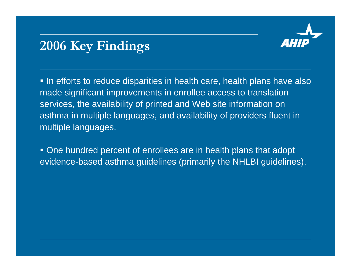

# **2006 Key Findings**

 $\blacksquare$  In efforts to reduce disparities in health care, health plans have also made significant improvements in enrollee access to translation services, the availability of printed and Web site information on asthma in multiple languages, and availability of providers fluent in multiple languages.

 One hundred percent of enrollees are in health plans that adopt evidence-based asthma guidelines (primarily the NHLBI guidelines).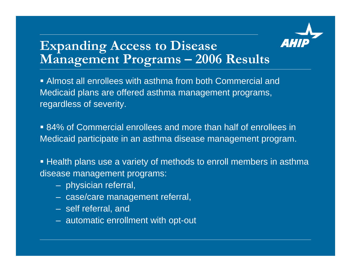

#### **Expanding Access to Disease Management Programs – 2006 Results**

 Almost all enrollees with asthma from both Commercial and Medicaid plans are offered asthma management programs, regardless of severity.

 84% of Commercial enrollees and more than half of enrollees in Medicaid participate in an asthma disease management program.

**Examber 1** Health plans use a variety of methods to enroll members in asthma disease management programs:

- –physician referral,
- –case/care management referral,
- self referral, and
- automatic enrollment with opt-out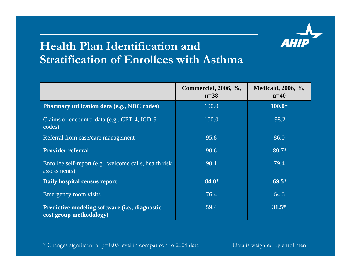

#### **Health Plan Identification and Stratification of Enrollees with Asthma**

|                                                                           | <b>Commercial, 2006, %,</b><br>$n=38$ | Medicaid, 2006, %,<br>$n=40$ |
|---------------------------------------------------------------------------|---------------------------------------|------------------------------|
| Pharmacy utilization data (e.g., NDC codes)                               | 100.0                                 | $100.0*$                     |
| Claims or encounter data (e.g., CPT-4, ICD-9<br>codes)                    | 100.0                                 | 98.2                         |
| Referral from case/care management                                        | 95.8                                  | 86.0                         |
| <b>Provider referral</b>                                                  | 90.6                                  | 80.7*                        |
| Enrollee self-report (e.g., welcome calls, health risk<br>assessments)    | 90.1                                  | 79.4                         |
| Daily hospital census report                                              | 84.0*                                 | $69.5*$                      |
| Emergency room visits                                                     | 76.4                                  | 64.6                         |
| Predictive modeling software (i.e., diagnostic<br>cost group methodology) | 59.4                                  | $31.5*$                      |

\* Changes significant at p=0.05 level in comparison to 2004 data Data is weighted by enrollment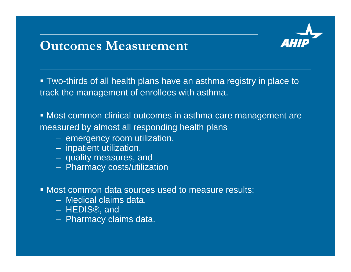#### **Outcomes Measurement**

 Two-thirds of all health plans have an asthma registry in place to track the management of enrollees with asthma.

 Most common clinical outcomes in asthma care management are measured by almost all responding health plans

- –emergency room utilization,
- –inpatient utilization,
- –quality measures, and
- –Pharmacy costs/utilization
- Most common data sources used to measure results:
	- Medical claims data,
	- HEDIS®, and
	- –Pharmacy claims data.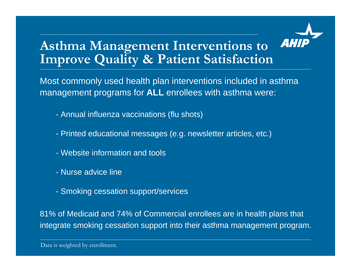

### **Asthma Management Interventions to Improve Quality & Patient Satisfaction**

Most commonly used health plan interventions included in asthma management programs for **ALL** enrollees with asthma were:

- Annual influenza vaccinations (flu shots)
- Printed educational messages (e.g. newsletter articles, etc.)
- Website information and tools
- Nurse advice line
- Smoking cessation support/services

81% of Medicaid and 74% of Commercial enrollees are in health plans that integrate smoking cessation support into their asthma management program.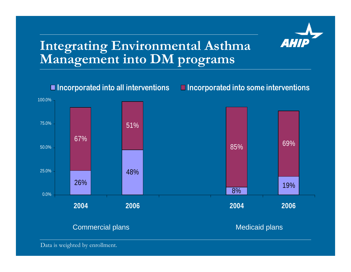

#### **Integrating Environmental Asthma Management into DM programs**



Data is weighted by enrollment.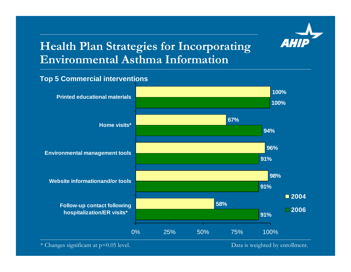

#### **Health Plan Strategies for Incorporating Environmental Asthma Information**

#### **Top 5 Commercial interventions**

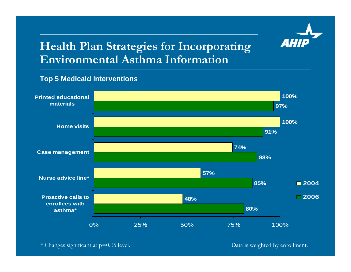

#### **Health Plan Strategies for Incorporating Environmental Asthma Information**

#### **Top 5 Medicaid interventions**



\* Changes significant at p=0.05 level.

Data is weighted by enrollment.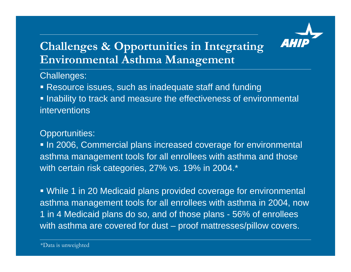

#### **Challenges & Opportunities in Integrating Environmental Asthma Management**

Challenges:

Resource issues, such as inadequate staff and funding

**Inability to track and measure the effectiveness of environmental** interventions

#### Opportunities:

In 2006, Commercial plans increased coverage for environmental asthma management tools for all enrollees with asthma and those with certain risk categories, 27% vs. 19% in 2004.\*

 While 1 in 20 Medicaid plans provided coverage for environmental asthma management tools for all enrollees with asthma in 2004, now 1 in 4 Medicaid plans do so, and of those plans - 56% of enrollees with asthma are covered for dust – proof mattresses/pillow covers.

\*Data is unweighted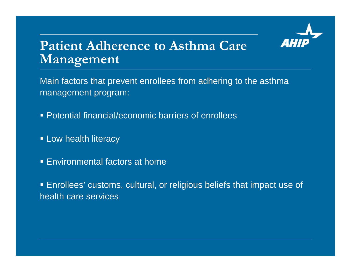

#### **Patient Adherence to Asthma Care Management**

Main factors that prevent enrollees from adhering to the asthma management program:

- Potential financial/economic barriers of enrollees
- **ELow health literacy**
- Environmental factors at home

 Enrollees' customs, cultural, or religious beliefs that impact use of health care services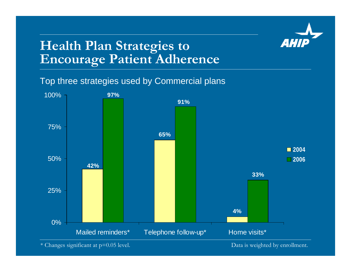

#### **Health Plan Strategies to Encourage Patient Adherence**

Top three strategies used by Commercial plans

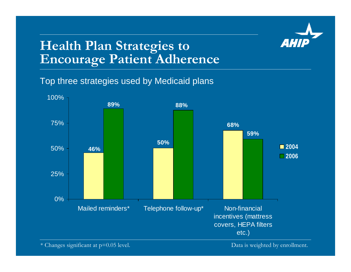

# **Health Plan Strategies to Encourage Patient Adherence**

Top three strategies used by Medicaid plans

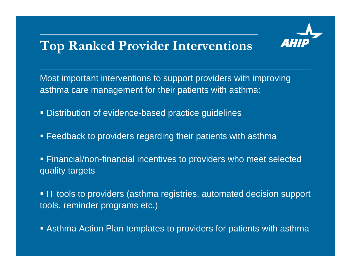# **Top Ranked Provider Interventions**



Most important interventions to support providers with improving asthma care management for their patients with asthma:

- Distribution of evidence-based practice guidelines
- Feedback to providers regarding their patients with asthma
- Financial/non-financial incentives to providers who meet selected quality targets

**IT** tools to providers (asthma registries, automated decision support tools, reminder programs etc.)

Asthma Action Plan templates to providers for patients with asthma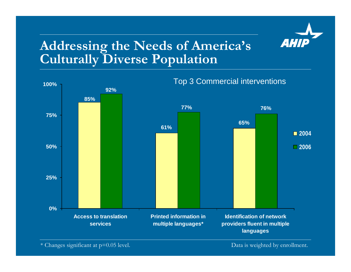

#### **Addressing the Needs of America's Culturally Diverse Population**



\* Changes significant at p=0.05 level. Data is weighted by enrollment.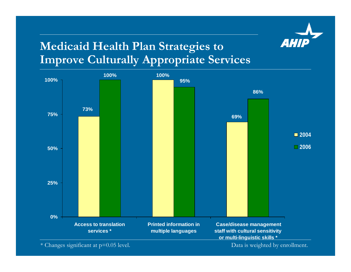

#### **Medicaid Health Plan Strategies to Improve Culturally Appropriate Services**



\* Changes significant at p=0.05 level. Data is weighted by enrollment.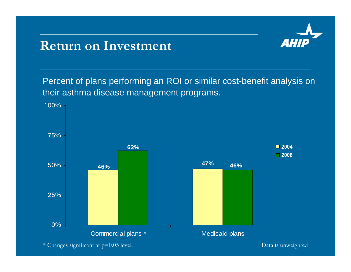#### **Return on Investment**



Percent of plans performing an ROI or similar cost-benefit analysis on their asthma disease management programs.



\* Changes significant at p=0.05 level.

Data is unweighted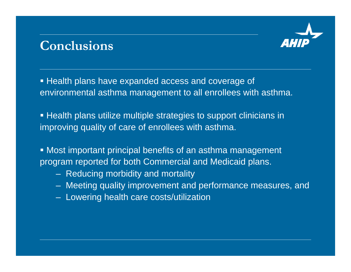#### **Conclusions**



**Health plans have expanded access and coverage of** environmental asthma management to all enrollees with asthma.

 $\blacksquare$  Health plans utilize multiple strategies to support clinicians in improving quality of care of enrollees with asthma.

 Most important principal benefits of an asthma management program reported for both Commercial and Medicaid plans.

- –Reducing morbidity and mortality
- Meeting quality improvement and performance measures, and
- Lowering health care costs/utilization